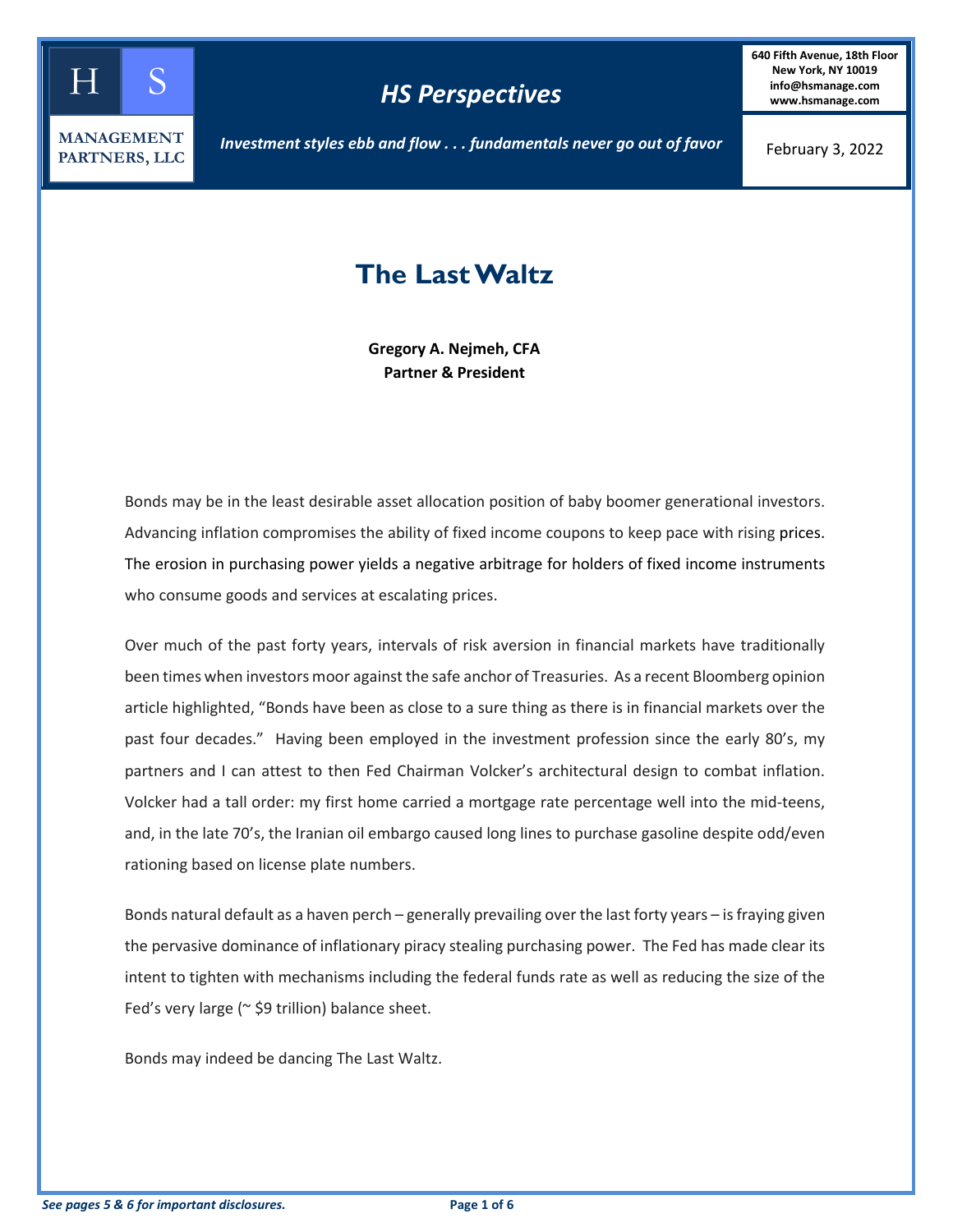

## *HS Perspectives*

**640 Fifth Avenue, 18th Floor New York, NY 10019 info@hsmanage.com www.hsmanage.com**

*Investment styles ebb and flow . . . fundamentals never go out of favor*

February 3, 2022

# **The Last Waltz**

**Gregory A. Nejmeh, CFA Partner & President**

Bonds may be in the least desirable asset allocation position of baby boomer generational investors. Advancing inflation compromises the ability of fixed income coupons to keep pace with rising prices. The erosion in purchasing power yields a negative arbitrage for holders of fixed income instruments who consume goods and services at escalating prices.

Over much of the past forty years, intervals of risk aversion in financial markets have traditionally been times when investors moor against the safe anchor of Treasuries. As a recent Bloomberg opinion article highlighted, "Bonds have been as close to a sure thing as there is in financial markets over the past four decades." Having been employed in the investment profession since the early 80's, my partners and I can attest to then Fed Chairman Volcker's architectural design to combat inflation. Volcker had a tall order: my first home carried a mortgage rate percentage well into the mid-teens, and, in the late 70's, the Iranian oil embargo caused long lines to purchase gasoline despite odd/even rationing based on license plate numbers.

Bonds natural default as a haven perch – generally prevailing over the last forty years – is fraying given the pervasive dominance of inflationary piracy stealing purchasing power. The Fed has made clear its intent to tighten with mechanisms including the federal funds rate as well as reducing the size of the Fed's very large ( $\approx$  \$9 trillion) balance sheet.

Bonds may indeed be dancing The Last Waltz.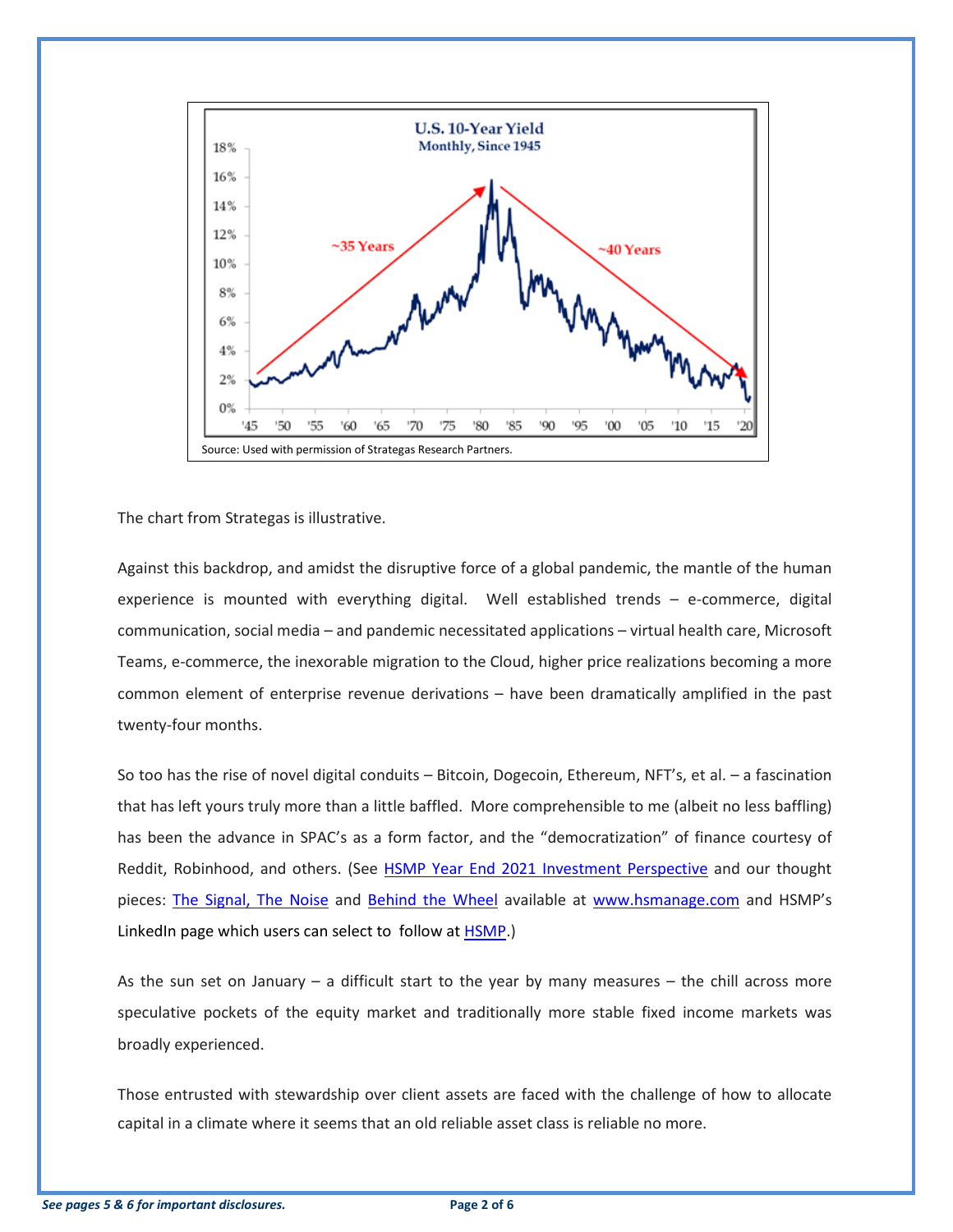

The chart from Strategas is illustrative.

Against this backdrop, and amidst the disruptive force of a global pandemic, the mantle of the human experience is mounted with everything digital. Well established trends – e-commerce, digital communication, social media – and pandemic necessitated applications – virtual health care, Microsoft Teams, e-commerce, the inexorable migration to the Cloud, higher price realizations becoming a more common element of enterprise revenue derivations – have been dramatically amplified in the past twenty-four months.

So too has the rise of novel digital conduits – Bitcoin, Dogecoin, Ethereum, NFT's, et al. – a fascination that has left yours truly more than a little baffled. More comprehensible to me (albeit no less baffling) has been the advance in SPAC's as a form factor, and the "democratization" of finance courtesy of Reddit, Robinhood, and others. (See [HSMP Year End 2021 Investment Perspective](https://www.hsmanage.com/fourth-quarter-2021-investment-perspective/) and our thought pieces: [The Signal, The](https://www.hsmanage.com/the-signal-the-noise/) Noise and [Behind the Wheel](https://www.hsmanage.com/behind-the-wheel/) available at [www.hsmanage.com](http://www.hsmanage.com/) and HSMP's LinkedIn page which users can select to follow at [HSMP.](https://www.linkedin.com/company/hs-management-partners-llc/posts/?feedView=all&viewAsMember=true))

As the sun set on January – a difficult start to the year by many measures – the chill across more speculative pockets of the equity market and traditionally more stable fixed income markets was broadly experienced.

Those entrusted with stewardship over client assets are faced with the challenge of how to allocate capital in a climate where it seems that an old reliable asset class is reliable no more.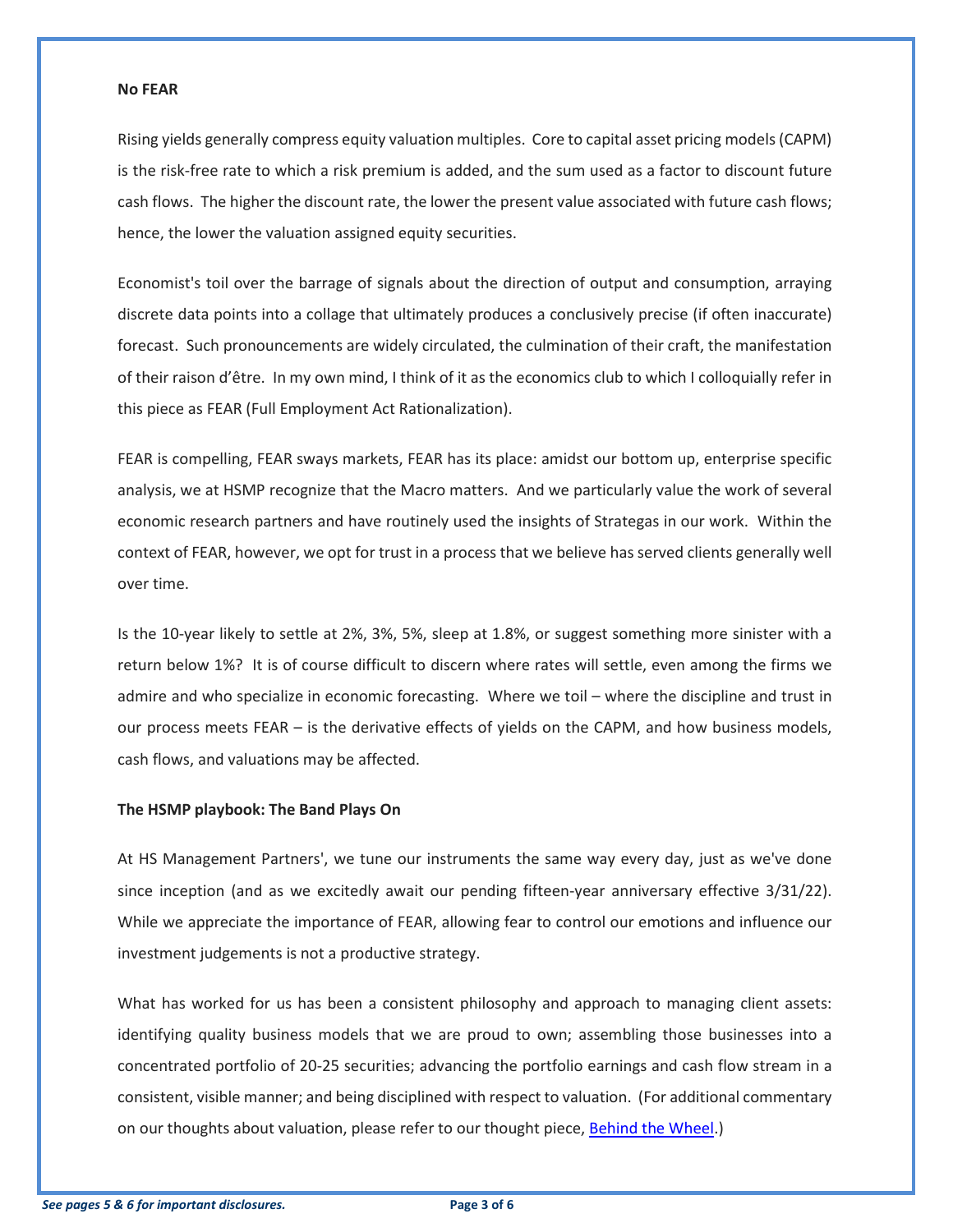#### **No FEAR**

Rising yields generally compress equity valuation multiples. Core to capital asset pricing models (CAPM) is the risk-free rate to which a risk premium is added, and the sum used as a factor to discount future cash flows. The higher the discount rate, the lower the present value associated with future cash flows; hence, the lower the valuation assigned equity securities.

Economist's toil over the barrage of signals about the direction of output and consumption, arraying discrete data points into a collage that ultimately produces a conclusively precise (if often inaccurate) forecast. Such pronouncements are widely circulated, the culmination of their craft, the manifestation of their raison d'être. In my own mind, I think of it as the economics club to which I colloquially refer in this piece as FEAR (Full Employment Act Rationalization).

FEAR is compelling, FEAR sways markets, FEAR has its place: amidst our bottom up, enterprise specific analysis, we at HSMP recognize that the Macro matters. And we particularly value the work of several economic research partners and have routinely used the insights of Strategas in our work. Within the context of FEAR, however, we opt for trust in a process that we believe has served clients generally well over time.

Is the 10-year likely to settle at 2%, 3%, 5%, sleep at 1.8%, or suggest something more sinister with a return below 1%? It is of course difficult to discern where rates will settle, even among the firms we admire and who specialize in economic forecasting. Where we toil – where the discipline and trust in our process meets FEAR – is the derivative effects of yields on the CAPM, and how business models, cash flows, and valuations may be affected.

#### **The HSMP playbook: The Band Plays On**

At HS Management Partners', we tune our instruments the same way every day, just as we've done since inception (and as we excitedly await our pending fifteen-year anniversary effective 3/31/22). While we appreciate the importance of FEAR, allowing fear to control our emotions and influence our investment judgements is not a productive strategy.

What has worked for us has been a consistent philosophy and approach to managing client assets: identifying quality business models that we are proud to own; assembling those businesses into a concentrated portfolio of 20-25 securities; advancing the portfolio earnings and cash flow stream in a consistent, visible manner; and being disciplined with respect to valuation. (For additional commentary on our thoughts about valuation, please refer to our thought piece[, Behind the Wheel.](https://www.hsmanage.com/behind-the-wheel/))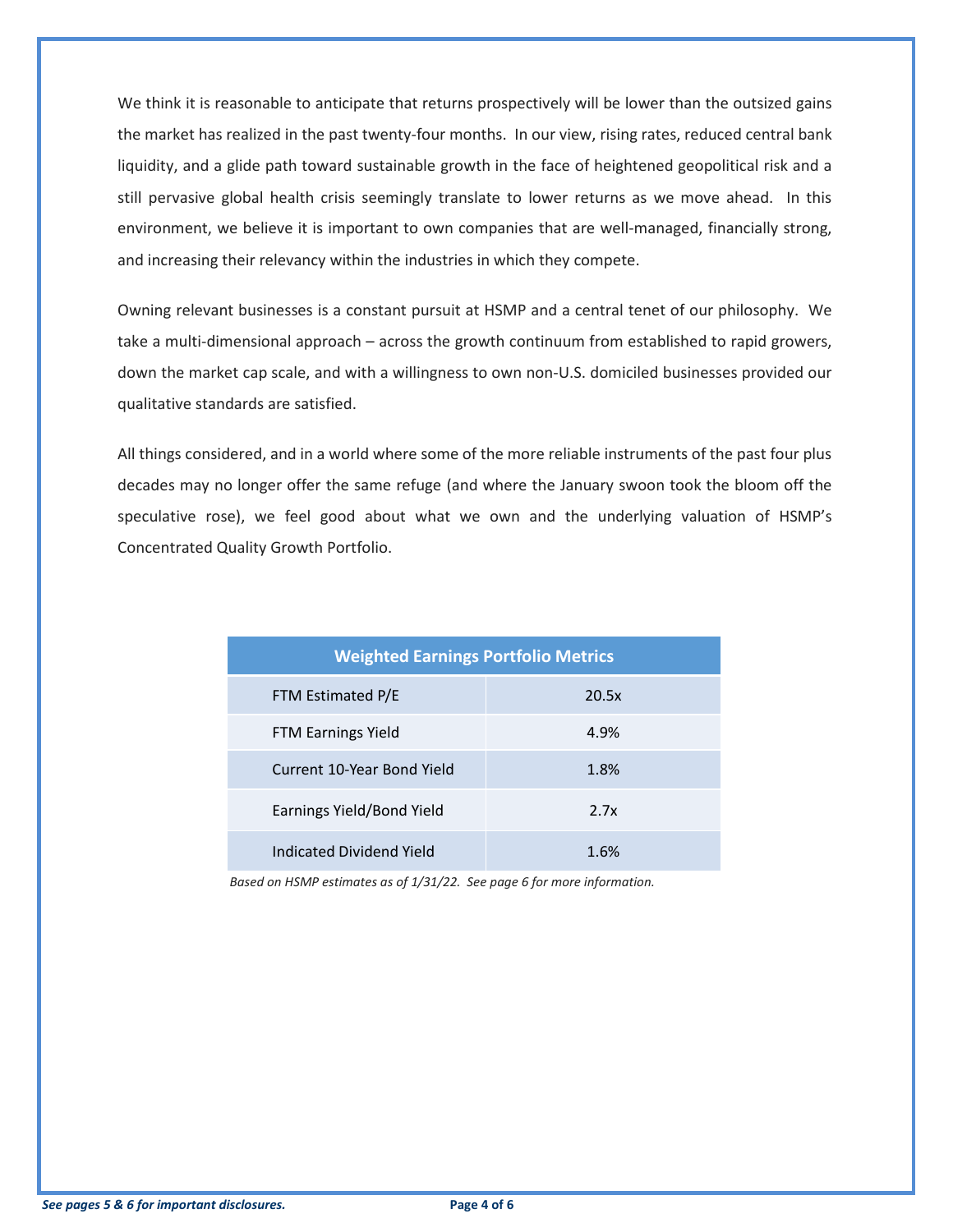We think it is reasonable to anticipate that returns prospectively will be lower than the outsized gains the market has realized in the past twenty-four months. In our view, rising rates, reduced central bank liquidity, and a glide path toward sustainable growth in the face of heightened geopolitical risk and a still pervasive global health crisis seemingly translate to lower returns as we move ahead. In this environment, we believe it is important to own companies that are well-managed, financially strong, and increasing their relevancy within the industries in which they compete.

Owning relevant businesses is a constant pursuit at HSMP and a central tenet of our philosophy. We take a multi-dimensional approach – across the growth continuum from established to rapid growers, down the market cap scale, and with a willingness to own non-U.S. domiciled businesses provided our qualitative standards are satisfied.

All things considered, and in a world where some of the more reliable instruments of the past four plus decades may no longer offer the same refuge (and where the January swoon took the bloom off the speculative rose), we feel good about what we own and the underlying valuation of HSMP's Concentrated Quality Growth Portfolio.

| <b>Weighted Earnings Portfolio Metrics</b> |       |  |  |  |  |  |  |  |  |
|--------------------------------------------|-------|--|--|--|--|--|--|--|--|
| FTM Estimated P/E                          | 20.5x |  |  |  |  |  |  |  |  |
| FTM Earnings Yield                         | 4.9%  |  |  |  |  |  |  |  |  |
| Current 10-Year Bond Yield                 | 1.8%  |  |  |  |  |  |  |  |  |
| Earnings Yield/Bond Yield                  | 2.7x  |  |  |  |  |  |  |  |  |
| Indicated Dividend Yield                   | 1.6%  |  |  |  |  |  |  |  |  |

*Based on HSMP estimates as of 1/31/22. See page 6 for more information.*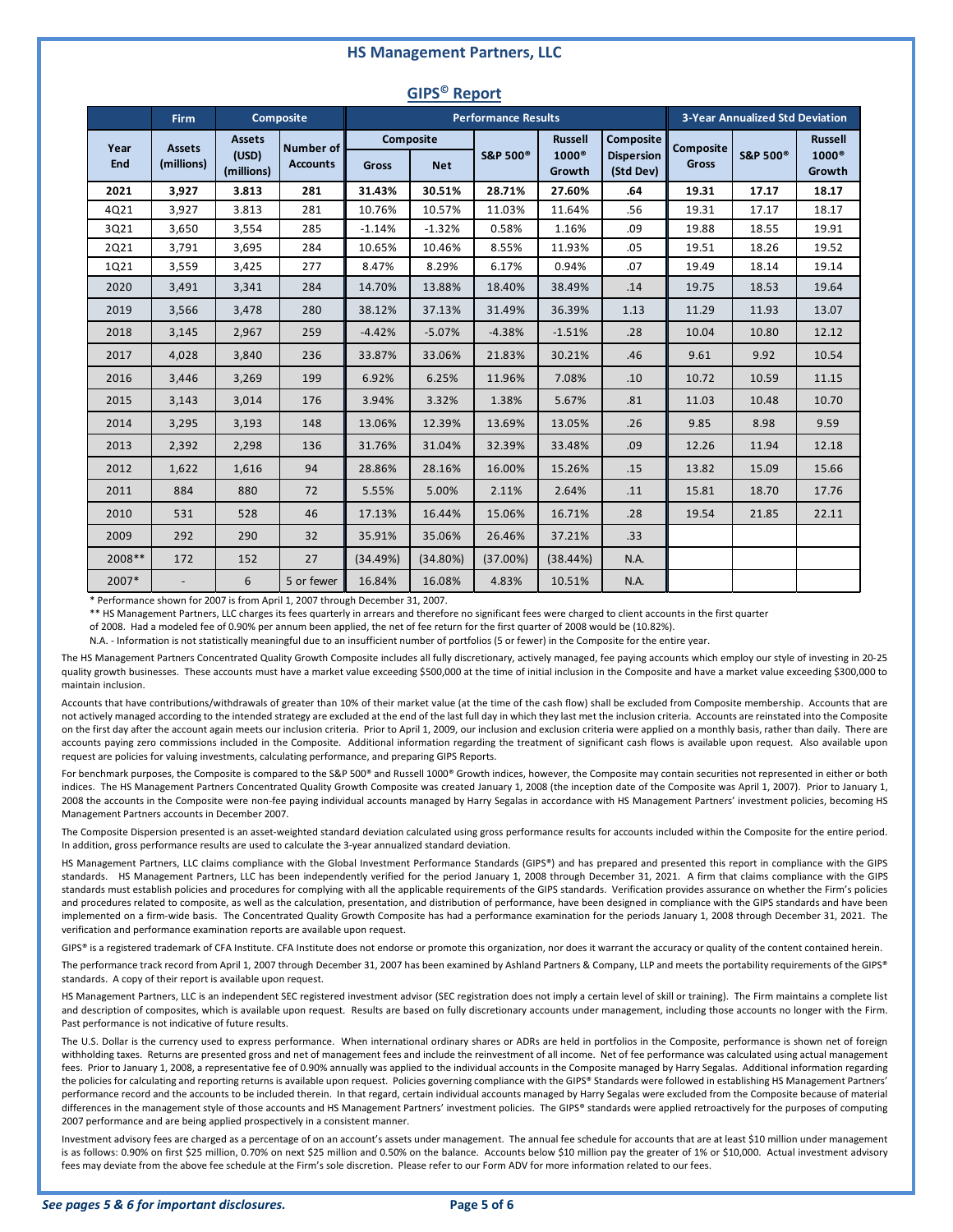#### **HS Management Partners, LLC**

| . <i>.</i>  |                             |                                      |                              |          |                         |                            |                                          |                                             |                                        |                     |                                          |
|-------------|-----------------------------|--------------------------------------|------------------------------|----------|-------------------------|----------------------------|------------------------------------------|---------------------------------------------|----------------------------------------|---------------------|------------------------------------------|
|             | <b>Firm</b>                 |                                      | Composite                    |          |                         | <b>Performance Results</b> |                                          |                                             | <b>3-Year Annualized Std Deviation</b> |                     |                                          |
| Year<br>End | <b>Assets</b><br>(millions) | <b>Assets</b><br>(USD)<br>(millions) | Number of<br><b>Accounts</b> | Gross    | Composite<br><b>Net</b> | S&P 500 <sup>®</sup>       | <b>Russell</b><br>$1000^\circ$<br>Growth | Composite<br><b>Dispersion</b><br>(Std Dev) | <b>Composite</b><br><b>Gross</b>       | <b>S&amp;P 500®</b> | <b>Russell</b><br>$1000^\circ$<br>Growth |
| 2021        | 3,927                       | 3.813                                | 281                          | 31.43%   | 30.51%                  | 28.71%                     | 27.60%                                   | .64                                         | 19.31                                  | 17.17               | 18.17                                    |
| 4Q21        | 3,927                       | 3.813                                | 281                          | 10.76%   | 10.57%                  | 11.03%                     | 11.64%                                   | .56                                         | 19.31                                  | 17.17               | 18.17                                    |
| 3Q21        | 3,650                       | 3,554                                | 285                          | $-1.14%$ | $-1.32%$                | 0.58%                      | 1.16%                                    | .09                                         | 19.88                                  | 18.55               | 19.91                                    |
| 2Q21        | 3,791                       | 3,695                                | 284                          | 10.65%   | 10.46%                  | 8.55%                      | 11.93%                                   | .05                                         | 19.51                                  | 18.26               | 19.52                                    |
| 1Q21        | 3,559                       | 3,425                                | 277                          | 8.47%    | 8.29%                   | 6.17%                      | 0.94%                                    | .07                                         | 19.49                                  | 18.14               | 19.14                                    |
| 2020        | 3,491                       | 3,341                                | 284                          | 14.70%   | 13.88%                  | 18.40%                     | 38.49%                                   | .14                                         | 19.75                                  | 18.53               | 19.64                                    |
| 2019        | 3,566                       | 3,478                                | 280                          | 38.12%   | 37.13%                  | 31.49%                     | 36.39%                                   | 1.13                                        | 11.29                                  | 11.93               | 13.07                                    |
| 2018        | 3,145                       | 2,967                                | 259                          | $-4.42%$ | $-5.07%$                | $-4.38%$                   | $-1.51%$                                 | .28                                         | 10.04                                  | 10.80               | 12.12                                    |
| 2017        | 4,028                       | 3,840                                | 236                          | 33.87%   | 33.06%                  | 21.83%                     | 30.21%                                   | .46                                         | 9.61                                   | 9.92                | 10.54                                    |
| 2016        | 3,446                       | 3,269                                | 199                          | 6.92%    | 6.25%                   | 11.96%                     | 7.08%                                    | .10                                         | 10.72                                  | 10.59               | 11.15                                    |
| 2015        | 3,143                       | 3,014                                | 176                          | 3.94%    | 3.32%                   | 1.38%                      | 5.67%                                    | .81                                         | 11.03                                  | 10.48               | 10.70                                    |
| 2014        | 3,295                       | 3,193                                | 148                          | 13.06%   | 12.39%                  | 13.69%                     | 13.05%                                   | .26                                         | 9.85                                   | 8.98                | 9.59                                     |
| 2013        | 2,392                       | 2,298                                | 136                          | 31.76%   | 31.04%                  | 32.39%                     | 33.48%                                   | .09                                         | 12.26                                  | 11.94               | 12.18                                    |
| 2012        | 1,622                       | 1,616                                | 94                           | 28.86%   | 28.16%                  | 16.00%                     | 15.26%                                   | .15                                         | 13.82                                  | 15.09               | 15.66                                    |
| 2011        | 884                         | 880                                  | 72                           | 5.55%    | 5.00%                   | 2.11%                      | 2.64%                                    | .11                                         | 15.81                                  | 18.70               | 17.76                                    |
| 2010        | 531                         | 528                                  | 46                           | 17.13%   | 16.44%                  | 15.06%                     | 16.71%                                   | .28                                         | 19.54                                  | 21.85               | 22.11                                    |
| 2009        | 292                         | 290                                  | 32                           | 35.91%   | 35.06%                  | 26.46%                     | 37.21%                                   | .33                                         |                                        |                     |                                          |
| 2008 **     | 172                         | 152                                  | 27                           | (34.49%) | (34.80%)                | (37.00%)                   | (38.44%)                                 | N.A.                                        |                                        |                     |                                          |
| 2007*       |                             | 6                                    | 5 or fewer                   | 16.84%   | 16.08%                  | 4.83%                      | 10.51%                                   | N.A.                                        |                                        |                     |                                          |

### **GIPS© Report**

\* Performance shown for 2007 is from April 1, 2007 through December 31, 2007.

\*\* HS Management Partners, LLC charges its fees quarterly in arrears and therefore no significant fees were charged to client accounts in the first quarter

of 2008. Had a modeled fee of 0.90% per annum been applied, the net of fee return for the first quarter of 2008 would be (10.82%).

N.A. - Information is not statistically meaningful due to an insufficient number of portfolios (5 or fewer) in the Composite for the entire year.

The HS Management Partners Concentrated Quality Growth Composite includes all fully discretionary, actively managed, fee paying accounts which employ our style of investing in 20-25 quality growth businesses. These accounts must have a market value exceeding \$500,000 at the time of initial inclusion in the Composite and have a market value exceeding \$300,000 to maintain inclusion.

Accounts that have contributions/withdrawals of greater than 10% of their market value (at the time of the cash flow) shall be excluded from Composite membership. Accounts that are not actively managed according to the intended strategy are excluded at the end of the last full day in which they last met the inclusion criteria. Accounts are reinstated into the Composite on the first day after the account again meets our inclusion criteria. Prior to April 1, 2009, our inclusion and exclusion criteria were applied on a monthly basis, rather than daily. There are accounts paying zero commissions included in the Composite. Additional information regarding the treatment of significant cash flows is available upon request. Also available upon request are policies for valuing investments, calculating performance, and preparing GIPS Reports.

For benchmark purposes, the Composite is compared to the S&P 500® and Russell 1000® Growth indices, however, the Composite may contain securities not represented in either or both indices. The HS Management Partners Concentrated Quality Growth Composite was created January 1, 2008 (the inception date of the Composite was April 1, 2007). Prior to January 1, 2008 the accounts in the Composite were non-fee paying individual accounts managed by Harry Segalas in accordance with HS Management Partners' investment policies, becoming HS Management Partners accounts in December 2007.

The Composite Dispersion presented is an asset-weighted standard deviation calculated using gross performance results for accounts included within the Composite for the entire period. In addition, gross performance results are used to calculate the 3-year annualized standard deviation.

HS Management Partners, LLC claims compliance with the Global Investment Performance Standards (GIPS®) and has prepared and presented this report in compliance with the GIPS standards. HS Management Partners, LLC has been independently verified for the period January 1, 2008 through December 31, 2021. A firm that claims compliance with the GIPS standards must establish policies and procedures for complying with all the applicable requirements of the GIPS standards. Verification provides assurance on whether the Firm's policies and procedures related to composite, as well as the calculation, presentation, and distribution of performance, have been designed in compliance with the GIPS standards and have been implemented on a firm-wide basis. The Concentrated Quality Growth Composite has had a performance examination for the periods January 1, 2008 through December 31, 2021. The verification and performance examination reports are available upon request.

GIPS® is a registered trademark of CFA Institute. CFA Institute does not endorse or promote this organization, nor does it warrant the accuracy or quality of the content contained herein.

The performance track record from April 1, 2007 through December 31, 2007 has been examined by Ashland Partners & Company, LLP and meets the portability requirements of the GIPS® standards. A copy of their report is available upon request.

HS Management Partners, LLC is an independent SEC registered investment advisor (SEC registration does not imply a certain level of skill or training). The Firm maintains a complete list and description of composites, which is available upon request. Results are based on fully discretionary accounts under management, including those accounts no longer with the Firm. Past performance is not indicative of future results.

The U.S. Dollar is the currency used to express performance. When international ordinary shares or ADRs are held in portfolios in the Composite, performance is shown net of foreign withholding taxes. Returns are presented gross and net of management fees and include the reinvestment of all income. Net of fee performance was calculated using actual management fees. Prior to January 1, 2008, a representative fee of 0.90% annually was applied to the individual accounts in the Composite managed by Harry Segalas. Additional information regarding the policies for calculating and reporting returns is available upon request. Policies governing compliance with the GIPS® Standards were followed in establishing HS Management Partners' performance record and the accounts to be included therein. In that regard, certain individual accounts managed by Harry Segalas were excluded from the Composite because of material differences in the management style of those accounts and HS Management Partners' investment policies. The GIPS® standards were applied retroactively for the purposes of computing 2007 performance and are being applied prospectively in a consistent manner.

Investment advisory fees are charged as a percentage of on an account's assets under management. The annual fee schedule for accounts that are at least \$10 million under management is as follows: 0.90% on first \$25 million, 0.70% on next \$25 million and 0.50% on the balance. Accounts below \$10 million pay the greater of 1% or \$10,000. Actual investment advisory fees may deviate from the above fee schedule at the Firm's sole discretion. Please refer to our Form ADV for more information related to our fees.